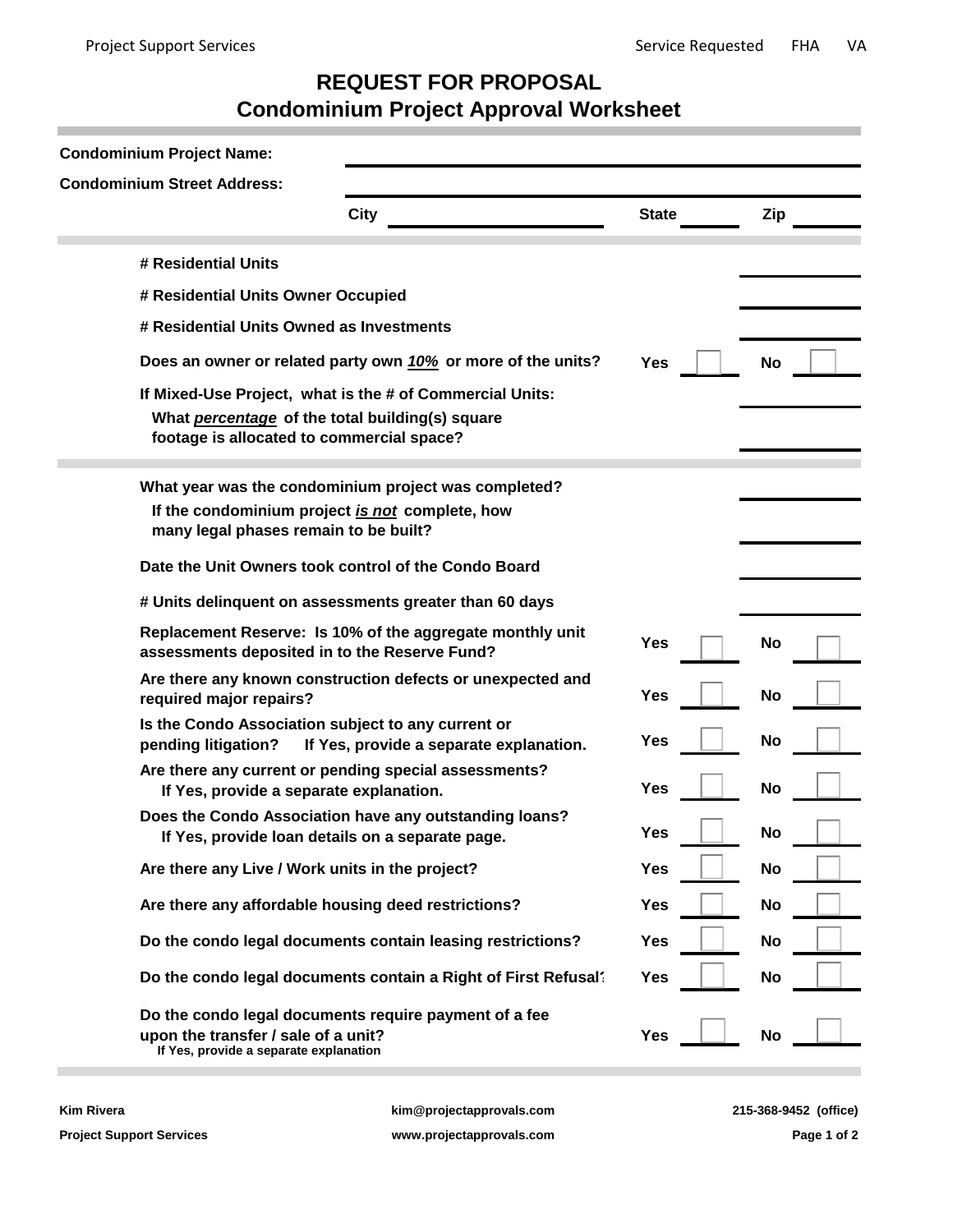## **REQUEST FOR PROPOSAL Condominium Project Approval Worksheet**

| <b>Condominium Project Name:</b>                                                                                                                         |                                                                |              |           |  |  |  |  |  |
|----------------------------------------------------------------------------------------------------------------------------------------------------------|----------------------------------------------------------------|--------------|-----------|--|--|--|--|--|
| <b>Condominium Street Address:</b>                                                                                                                       |                                                                |              |           |  |  |  |  |  |
|                                                                                                                                                          | City                                                           | <b>State</b> | Zip       |  |  |  |  |  |
| # Residential Units                                                                                                                                      |                                                                |              |           |  |  |  |  |  |
| # Residential Units Owner Occupied                                                                                                                       |                                                                |              |           |  |  |  |  |  |
| # Residential Units Owned as Investments                                                                                                                 |                                                                |              |           |  |  |  |  |  |
|                                                                                                                                                          | Does an owner or related party own 10% or more of the units?   | <b>Yes</b>   | No        |  |  |  |  |  |
| If Mixed-Use Project, what is the # of Commercial Units:<br>What percentage of the total building(s) square<br>footage is allocated to commercial space? |                                                                |              |           |  |  |  |  |  |
| If the condominium project is not complete, how<br>many legal phases remain to be built?                                                                 | What year was the condominium project was completed?           |              |           |  |  |  |  |  |
|                                                                                                                                                          | Date the Unit Owners took control of the Condo Board           |              |           |  |  |  |  |  |
|                                                                                                                                                          | # Units delinquent on assessments greater than 60 days         |              |           |  |  |  |  |  |
| assessments deposited in to the Reserve Fund?                                                                                                            | Replacement Reserve: Is 10% of the aggregate monthly unit      | Yes          | No        |  |  |  |  |  |
| required major repairs?                                                                                                                                  | Are there any known construction defects or unexpected and     | Yes          | <b>No</b> |  |  |  |  |  |
| Is the Condo Association subject to any current or<br>pending litigation?                                                                                | If Yes, provide a separate explanation.                        | Yes          | <b>No</b> |  |  |  |  |  |
| If Yes, provide a separate explanation.                                                                                                                  | Are there any current or pending special assessments?          | Yes          | <b>No</b> |  |  |  |  |  |
| If Yes, provide loan details on a separate page.                                                                                                         | Does the Condo Association have any outstanding loans?         | Yes          | No        |  |  |  |  |  |
| Are there any Live / Work units in the project?                                                                                                          |                                                                | Yes          | <b>No</b> |  |  |  |  |  |
| Are there any affordable housing deed restrictions?                                                                                                      |                                                                | <b>Yes</b>   | No        |  |  |  |  |  |
|                                                                                                                                                          | Do the condo legal documents contain leasing restrictions?     | Yes          | <b>No</b> |  |  |  |  |  |
|                                                                                                                                                          | Do the condo legal documents contain a Right of First Refusal? | Yes          | <b>No</b> |  |  |  |  |  |
| upon the transfer / sale of a unit?<br>If Yes, provide a separate explanation                                                                            | Do the condo legal documents require payment of a fee          | <b>Yes</b>   | <b>No</b> |  |  |  |  |  |